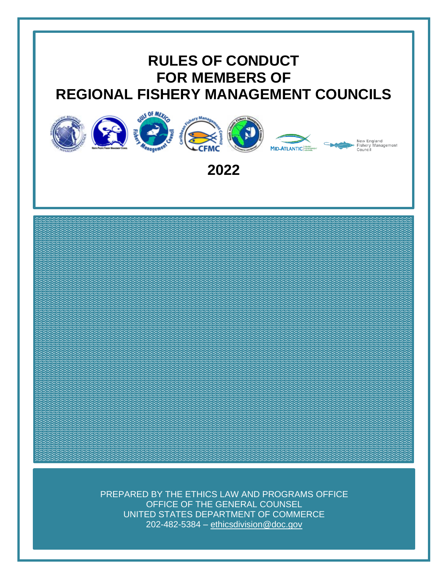# **RULES OF CONDUCT FOR MEMBERS OF REGIONAL FISHERY MANAGEMENT COUNCILS**



**2022**

PREPARED BY THE ETHICS LAW AND PROGRAMS OFFICE OFFICE OF THE GENERAL COUNSEL UNITED STATES DEPARTMENT OF COMMERCE 202-482-5384 – [ethicsdivision@doc.gov](mailto:ethicsdivision@doc.gov)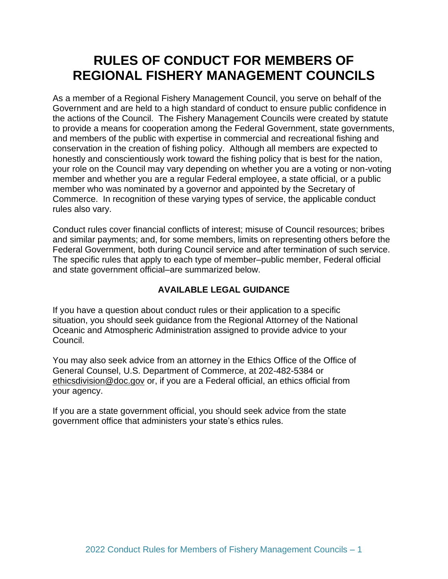# **RULES OF CONDUCT FOR MEMBERS OF REGIONAL FISHERY MANAGEMENT COUNCILS**

As a member of a Regional Fishery Management Council, you serve on behalf of the Government and are held to a high standard of conduct to ensure public confidence in the actions of the Council. The Fishery Management Councils were created by statute to provide a means for cooperation among the Federal Government, state governments, and members of the public with expertise in commercial and recreational fishing and conservation in the creation of fishing policy. Although all members are expected to honestly and conscientiously work toward the fishing policy that is best for the nation, your role on the Council may vary depending on whether you are a voting or non-voting member and whether you are a regular Federal employee, a state official, or a public member who was nominated by a governor and appointed by the Secretary of Commerce. In recognition of these varying types of service, the applicable conduct rules also vary.

Conduct rules cover financial conflicts of interest; misuse of Council resources; bribes and similar payments; and, for some members, limits on representing others before the Federal Government, both during Council service and after termination of such service. The specific rules that apply to each type of member–public member, Federal official and state government official–are summarized below.

# **AVAILABLE LEGAL GUIDANCE**

If you have a question about conduct rules or their application to a specific situation, you should seek guidance from the Regional Attorney of the National Oceanic and Atmospheric Administration assigned to provide advice to your Council.

You may also seek advice from an attorney in the Ethics Office of the Office of General Counsel, U.S. Department of Commerce, at 202-482-5384 or [ethicsdivision@doc.gov](mailto:ethicsdivision@doc.gov) or, if you are a Federal official, an ethics official from your agency.

If you are a state government official, you should seek advice from the state government office that administers your state's ethics rules.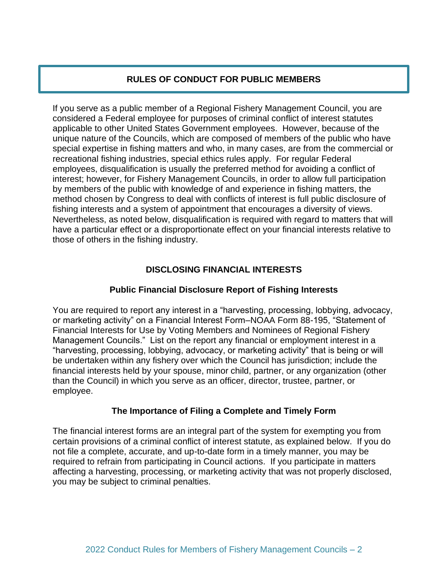# **RULES OF CONDUCT FOR PUBLIC MEMBERS**

If you serve as a public member of a Regional Fishery Management Council, you are considered a Federal employee for purposes of criminal conflict of interest statutes applicable to other United States Government employees. However, because of the unique nature of the Councils, which are composed of members of the public who have special expertise in fishing matters and who, in many cases, are from the commercial or recreational fishing industries, special ethics rules apply. For regular Federal employees, disqualification is usually the preferred method for avoiding a conflict of interest; however, for Fishery Management Councils, in order to allow full participation by members of the public with knowledge of and experience in fishing matters, the method chosen by Congress to deal with conflicts of interest is full public disclosure of fishing interests and a system of appointment that encourages a diversity of views. Nevertheless, as noted below, disqualification is required with regard to matters that will have a particular effect or a disproportionate effect on your financial interests relative to those of others in the fishing industry.

# **DISCLOSING FINANCIAL INTERESTS**

#### **Public Financial Disclosure Report of Fishing Interests**

You are required to report any interest in a "harvesting, processing, lobbying, advocacy, or marketing activity" on a Financial Interest Form–NOAA Form 88-195, "Statement of Financial Interests for Use by Voting Members and Nominees of Regional Fishery Management Councils." List on the report any financial or employment interest in a "harvesting, processing, lobbying, advocacy, or marketing activity" that is being or will be undertaken within any fishery over which the Council has jurisdiction; include the financial interests held by your spouse, minor child, partner, or any organization (other than the Council) in which you serve as an officer, director, trustee, partner, or employee.

#### **The Importance of Filing a Complete and Timely Form**

The financial interest forms are an integral part of the system for exempting you from certain provisions of a criminal conflict of interest statute, as explained below. If you do not file a complete, accurate, and up-to-date form in a timely manner, you may be required to refrain from participating in Council actions. If you participate in matters affecting a harvesting, processing, or marketing activity that was not properly disclosed, you may be subject to criminal penalties.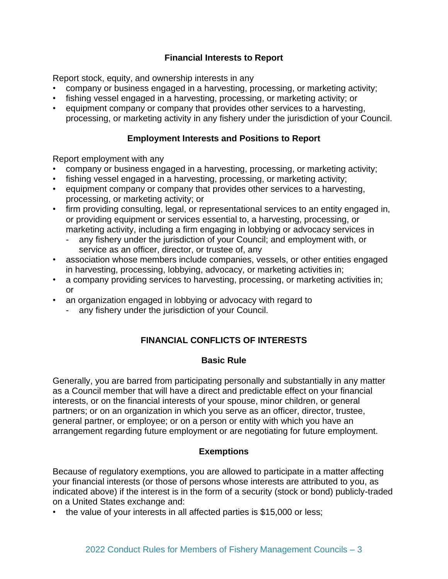# **Financial Interests to Report**

Report stock, equity, and ownership interests in any

- company or business engaged in a harvesting, processing, or marketing activity;
- fishing vessel engaged in a harvesting, processing, or marketing activity; or
- equipment company or company that provides other services to a harvesting, processing, or marketing activity in any fishery under the jurisdiction of your Council.

# **Employment Interests and Positions to Report**

Report employment with any

- company or business engaged in a harvesting, processing, or marketing activity;
- fishing vessel engaged in a harvesting, processing, or marketing activity;
- equipment company or company that provides other services to a harvesting, processing, or marketing activity; or
- firm providing consulting, legal, or representational services to an entity engaged in, or providing equipment or services essential to, a harvesting, processing, or marketing activity, including a firm engaging in lobbying or advocacy services in
	- any fishery under the jurisdiction of your Council; and employment with, or service as an officer, director, or trustee of, any
- association whose members include companies, vessels, or other entities engaged in harvesting, processing, lobbying, advocacy, or marketing activities in;
- a company providing services to harvesting, processing, or marketing activities in; or
- an organization engaged in lobbying or advocacy with regard to
	- any fishery under the jurisdiction of your Council.

# **FINANCIAL CONFLICTS OF INTERESTS**

#### **Basic Rule**

Generally, you are barred from participating personally and substantially in any matter as a Council member that will have a direct and predictable effect on your financial interests, or on the financial interests of your spouse, minor children, or general partners; or on an organization in which you serve as an officer, director, trustee, general partner, or employee; or on a person or entity with which you have an arrangement regarding future employment or are negotiating for future employment.

#### **Exemptions**

Because of regulatory exemptions, you are allowed to participate in a matter affecting your financial interests (or those of persons whose interests are attributed to you, as indicated above) if the interest is in the form of a security (stock or bond) publicly-traded on a United States exchange and:

• the value of your interests in all affected parties is \$15,000 or less;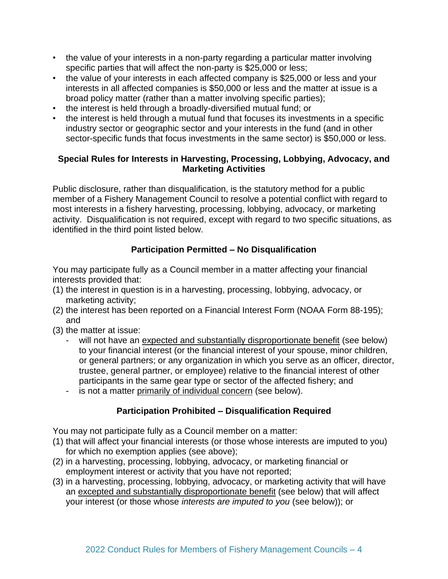- the value of your interests in a non-party regarding a particular matter involving specific parties that will affect the non-party is \$25,000 or less;
- the value of your interests in each affected company is \$25,000 or less and your interests in all affected companies is \$50,000 or less and the matter at issue is a broad policy matter (rather than a matter involving specific parties);
- the interest is held through a broadly-diversified mutual fund; or
- the interest is held through a mutual fund that focuses its investments in a specific industry sector or geographic sector and your interests in the fund (and in other sector-specific funds that focus investments in the same sector) is \$50,000 or less.

#### **Special Rules for Interests in Harvesting, Processing, Lobbying, Advocacy, and Marketing Activities**

Public disclosure, rather than disqualification, is the statutory method for a public member of a Fishery Management Council to resolve a potential conflict with regard to most interests in a fishery harvesting, processing, lobbying, advocacy, or marketing activity. Disqualification is not required, except with regard to two specific situations, as identified in the third point listed below.

# **Participation Permitted – No Disqualification**

You may participate fully as a Council member in a matter affecting your financial interests provided that:

- (1) the interest in question is in a harvesting, processing, lobbying, advocacy, or marketing activity;
- (2) the interest has been reported on a Financial Interest Form (NOAA Form 88-195); and
- (3) the matter at issue:
	- will not have an expected and substantially disproportionate benefit (see below) to your financial interest (or the financial interest of your spouse, minor children, or general partners; or any organization in which you serve as an officer, director, trustee, general partner, or employee) relative to the financial interest of other participants in the same gear type or sector of the affected fishery; and
	- is not a matter primarily of individual concern (see below).

# **Participation Prohibited – Disqualification Required**

You may not participate fully as a Council member on a matter:

- (1) that will affect your financial interests (or those whose interests are imputed to you) for which no exemption applies (see above);
- (2) in a harvesting, processing, lobbying, advocacy, or marketing financial or employment interest or activity that you have not reported;
- (3) in a harvesting, processing, lobbying, advocacy, or marketing activity that will have an excepted and substantially disproportionate benefit (see below) that will affect your interest (or those whose *interests are imputed to you* (see below)); or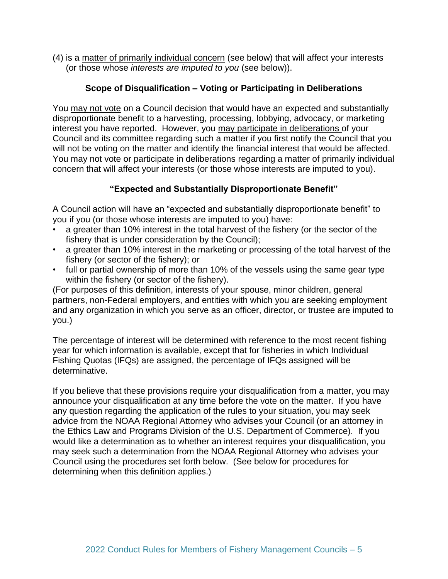(4) is a matter of primarily individual concern (see below) that will affect your interests (or those whose *interests are imputed to you* (see below)).

#### **Scope of Disqualification – Voting or Participating in Deliberations**

You may not vote on a Council decision that would have an expected and substantially disproportionate benefit to a harvesting, processing, lobbying, advocacy, or marketing interest you have reported. However, you may participate in deliberations of your Council and its committee regarding such a matter if you first notify the Council that you will not be voting on the matter and identify the financial interest that would be affected. You may not vote or participate in deliberations regarding a matter of primarily individual concern that will affect your interests (or those whose interests are imputed to you).

# **"Expected and Substantially Disproportionate Benefit"**

A Council action will have an "expected and substantially disproportionate benefit" to you if you (or those whose interests are imputed to you) have:

- a greater than 10% interest in the total harvest of the fishery (or the sector of the fishery that is under consideration by the Council);
- a greater than 10% interest in the marketing or processing of the total harvest of the fishery (or sector of the fishery); or
- full or partial ownership of more than 10% of the vessels using the same gear type within the fishery (or sector of the fishery).

(For purposes of this definition, interests of your spouse, minor children, general partners, non-Federal employers, and entities with which you are seeking employment and any organization in which you serve as an officer, director, or trustee are imputed to you.)

The percentage of interest will be determined with reference to the most recent fishing year for which information is available, except that for fisheries in which Individual Fishing Quotas (IFQs) are assigned, the percentage of IFQs assigned will be determinative.

If you believe that these provisions require your disqualification from a matter, you may announce your disqualification at any time before the vote on the matter. If you have any question regarding the application of the rules to your situation, you may seek advice from the NOAA Regional Attorney who advises your Council (or an attorney in the Ethics Law and Programs Division of the U.S. Department of Commerce). If you would like a determination as to whether an interest requires your disqualification, you may seek such a determination from the NOAA Regional Attorney who advises your Council using the procedures set forth below. (See below for procedures for determining when this definition applies.)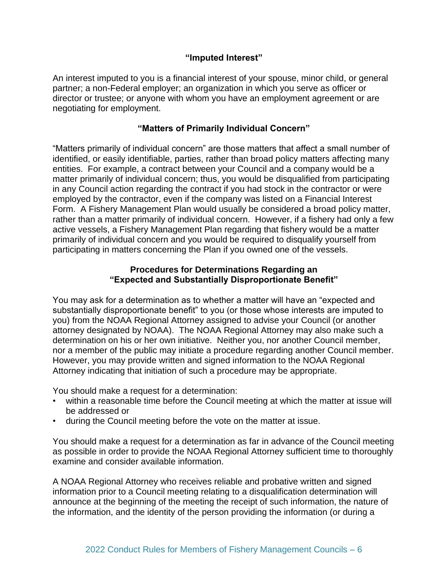#### **"Imputed Interest"**

An interest imputed to you is a financial interest of your spouse, minor child, or general partner; a non-Federal employer; an organization in which you serve as officer or director or trustee; or anyone with whom you have an employment agreement or are negotiating for employment.

#### **"Matters of Primarily Individual Concern"**

"Matters primarily of individual concern" are those matters that affect a small number of identified, or easily identifiable, parties, rather than broad policy matters affecting many entities. For example, a contract between your Council and a company would be a matter primarily of individual concern; thus, you would be disqualified from participating in any Council action regarding the contract if you had stock in the contractor or were employed by the contractor, even if the company was listed on a Financial Interest Form. A Fishery Management Plan would usually be considered a broad policy matter, rather than a matter primarily of individual concern. However, if a fishery had only a few active vessels, a Fishery Management Plan regarding that fishery would be a matter primarily of individual concern and you would be required to disqualify yourself from participating in matters concerning the Plan if you owned one of the vessels.

#### **Procedures for Determinations Regarding an "Expected and Substantially Disproportionate Benefit"**

You may ask for a determination as to whether a matter will have an "expected and substantially disproportionate benefit" to you (or those whose interests are imputed to you) from the NOAA Regional Attorney assigned to advise your Council (or another attorney designated by NOAA). The NOAA Regional Attorney may also make such a determination on his or her own initiative. Neither you, nor another Council member, nor a member of the public may initiate a procedure regarding another Council member. However, you may provide written and signed information to the NOAA Regional Attorney indicating that initiation of such a procedure may be appropriate.

You should make a request for a determination:

- within a reasonable time before the Council meeting at which the matter at issue will be addressed or
- during the Council meeting before the vote on the matter at issue.

You should make a request for a determination as far in advance of the Council meeting as possible in order to provide the NOAA Regional Attorney sufficient time to thoroughly examine and consider available information.

A NOAA Regional Attorney who receives reliable and probative written and signed information prior to a Council meeting relating to a disqualification determination will announce at the beginning of the meeting the receipt of such information, the nature of the information, and the identity of the person providing the information (or during a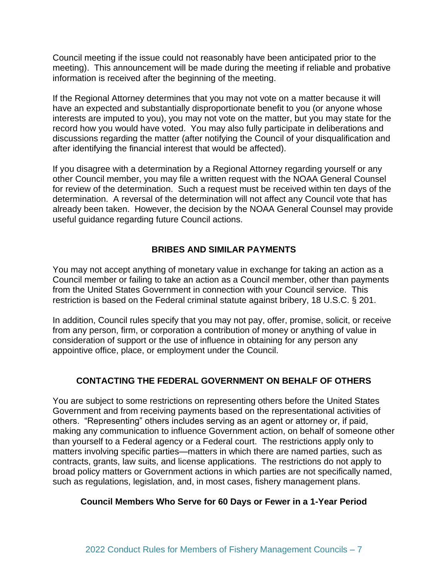Council meeting if the issue could not reasonably have been anticipated prior to the meeting). This announcement will be made during the meeting if reliable and probative information is received after the beginning of the meeting.

If the Regional Attorney determines that you may not vote on a matter because it will have an expected and substantially disproportionate benefit to you (or anyone whose interests are imputed to you), you may not vote on the matter, but you may state for the record how you would have voted. You may also fully participate in deliberations and discussions regarding the matter (after notifying the Council of your disqualification and after identifying the financial interest that would be affected).

If you disagree with a determination by a Regional Attorney regarding yourself or any other Council member, you may file a written request with the NOAA General Counsel for review of the determination. Such a request must be received within ten days of the determination. A reversal of the determination will not affect any Council vote that has already been taken. However, the decision by the NOAA General Counsel may provide useful guidance regarding future Council actions.

#### **BRIBES AND SIMILAR PAYMENTS**

You may not accept anything of monetary value in exchange for taking an action as a Council member or failing to take an action as a Council member, other than payments from the United States Government in connection with your Council service. This restriction is based on the Federal criminal statute against bribery, 18 U.S.C. § 201.

In addition, Council rules specify that you may not pay, offer, promise, solicit, or receive from any person, firm, or corporation a contribution of money or anything of value in consideration of support or the use of influence in obtaining for any person any appointive office, place, or employment under the Council.

# **CONTACTING THE FEDERAL GOVERNMENT ON BEHALF OF OTHERS**

You are subject to some restrictions on representing others before the United States Government and from receiving payments based on the representational activities of others. "Representing" others includes serving as an agent or attorney or, if paid, making any communication to influence Government action, on behalf of someone other than yourself to a Federal agency or a Federal court. The restrictions apply only to matters involving specific parties—matters in which there are named parties, such as contracts, grants, law suits, and license applications. The restrictions do not apply to broad policy matters or Government actions in which parties are not specifically named, such as regulations, legislation, and, in most cases, fishery management plans.

#### **Council Members Who Serve for 60 Days or Fewer in a 1-Year Period**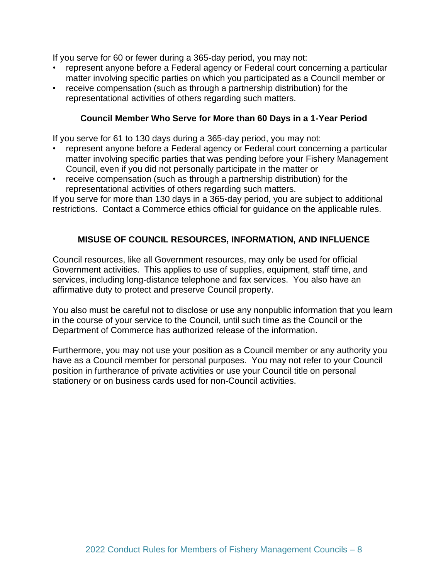If you serve for 60 or fewer during a 365-day period, you may not:

- represent anyone before a Federal agency or Federal court concerning a particular matter involving specific parties on which you participated as a Council member or
- receive compensation (such as through a partnership distribution) for the representational activities of others regarding such matters.

#### **Council Member Who Serve for More than 60 Days in a 1-Year Period**

If you serve for 61 to 130 days during a 365-day period, you may not:

- represent anyone before a Federal agency or Federal court concerning a particular matter involving specific parties that was pending before your Fishery Management Council, even if you did not personally participate in the matter or
- receive compensation (such as through a partnership distribution) for the representational activities of others regarding such matters.

If you serve for more than 130 days in a 365-day period, you are subject to additional restrictions. Contact a Commerce ethics official for guidance on the applicable rules.

#### **MISUSE OF COUNCIL RESOURCES, INFORMATION, AND INFLUENCE**

Council resources, like all Government resources, may only be used for official Government activities. This applies to use of supplies, equipment, staff time, and services, including long-distance telephone and fax services. You also have an affirmative duty to protect and preserve Council property.

You also must be careful not to disclose or use any nonpublic information that you learn in the course of your service to the Council, until such time as the Council or the Department of Commerce has authorized release of the information.

Furthermore, you may not use your position as a Council member or any authority you have as a Council member for personal purposes. You may not refer to your Council position in furtherance of private activities or use your Council title on personal stationery or on business cards used for non-Council activities.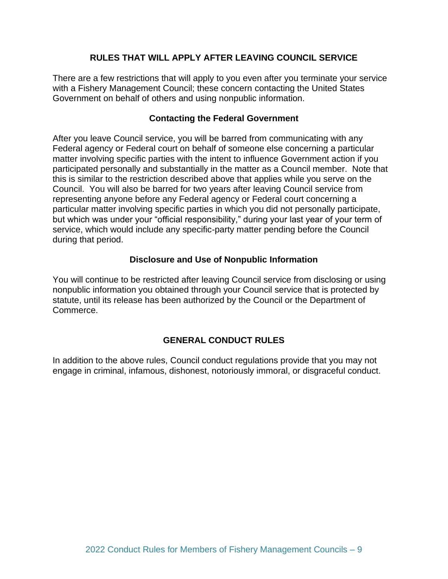#### **RULES THAT WILL APPLY AFTER LEAVING COUNCIL SERVICE**

There are a few restrictions that will apply to you even after you terminate your service with a Fishery Management Council; these concern contacting the United States Government on behalf of others and using nonpublic information.

#### **Contacting the Federal Government**

After you leave Council service, you will be barred from communicating with any Federal agency or Federal court on behalf of someone else concerning a particular matter involving specific parties with the intent to influence Government action if you participated personally and substantially in the matter as a Council member. Note that this is similar to the restriction described above that applies while you serve on the Council. You will also be barred for two years after leaving Council service from representing anyone before any Federal agency or Federal court concerning a particular matter involving specific parties in which you did not personally participate, but which was under your "official responsibility," during your last year of your term of service, which would include any specific-party matter pending before the Council during that period.

#### **Disclosure and Use of Nonpublic Information**

You will continue to be restricted after leaving Council service from disclosing or using nonpublic information you obtained through your Council service that is protected by statute, until its release has been authorized by the Council or the Department of Commerce.

# **GENERAL CONDUCT RULES**

In addition to the above rules, Council conduct regulations provide that you may not engage in criminal, infamous, dishonest, notoriously immoral, or disgraceful conduct.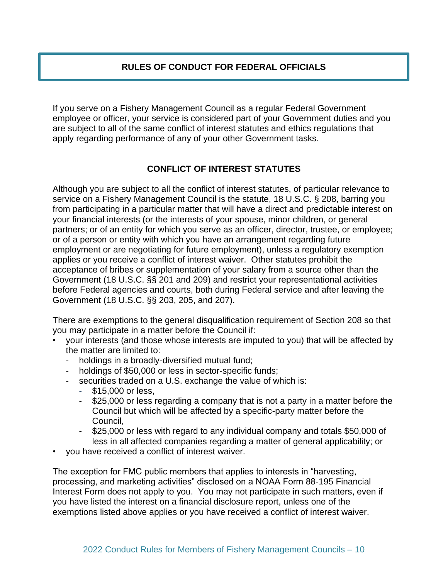# **RULES OF CONDUCT FOR FEDERAL OFFICIALS**

If you serve on a Fishery Management Council as a regular Federal Government employee or officer, your service is considered part of your Government duties and you are subject to all of the same conflict of interest statutes and ethics regulations that apply regarding performance of any of your other Government tasks.

# **CONFLICT OF INTEREST STATUTES**

Although you are subject to all the conflict of interest statutes, of particular relevance to service on a Fishery Management Council is the statute, 18 U.S.C. § 208, barring you from participating in a particular matter that will have a direct and predictable interest on your financial interests (or the interests of your spouse, minor children, or general partners; or of an entity for which you serve as an officer, director, trustee, or employee; or of a person or entity with which you have an arrangement regarding future employment or are negotiating for future employment), unless a regulatory exemption applies or you receive a conflict of interest waiver. Other statutes prohibit the acceptance of bribes or supplementation of your salary from a source other than the Government (18 U.S.C. §§ 201 and 209) and restrict your representational activities before Federal agencies and courts, both during Federal service and after leaving the Government (18 U.S.C. §§ 203, 205, and 207).

There are exemptions to the general disqualification requirement of Section 208 so that you may participate in a matter before the Council if:

- your interests (and those whose interests are imputed to you) that will be affected by the matter are limited to:
	- holdings in a broadly-diversified mutual fund;
	- holdings of \$50,000 or less in sector-specific funds;
	- securities traded on a U.S. exchange the value of which is:
		- \$15,000 or less,
		- \$25,000 or less regarding a company that is not a party in a matter before the Council but which will be affected by a specific-party matter before the Council,
		- \$25,000 or less with regard to any individual company and totals \$50,000 of less in all affected companies regarding a matter of general applicability; or
- you have received a conflict of interest waiver.

The exception for FMC public members that applies to interests in "harvesting, processing, and marketing activities" disclosed on a NOAA Form 88-195 Financial Interest Form does not apply to you. You may not participate in such matters, even if you have listed the interest on a financial disclosure report, unless one of the exemptions listed above applies or you have received a conflict of interest waiver.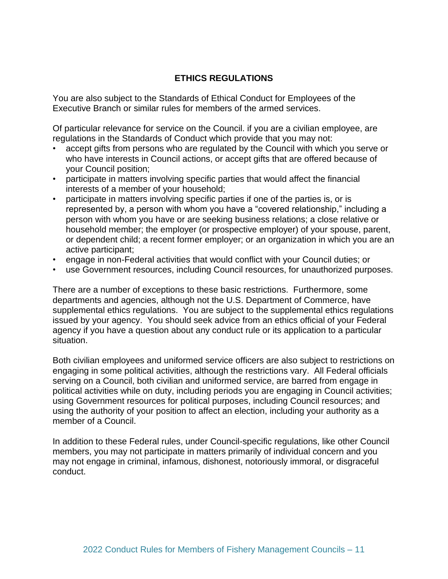# **ETHICS REGULATIONS**

You are also subject to the Standards of Ethical Conduct for Employees of the Executive Branch or similar rules for members of the armed services.

Of particular relevance for service on the Council. if you are a civilian employee, are regulations in the Standards of Conduct which provide that you may not:

- accept gifts from persons who are regulated by the Council with which you serve or who have interests in Council actions, or accept gifts that are offered because of your Council position;
- participate in matters involving specific parties that would affect the financial interests of a member of your household;
- participate in matters involving specific parties if one of the parties is, or is represented by, a person with whom you have a "covered relationship," including a person with whom you have or are seeking business relations; a close relative or household member; the employer (or prospective employer) of your spouse, parent, or dependent child; a recent former employer; or an organization in which you are an active participant;
- engage in non-Federal activities that would conflict with your Council duties; or
- use Government resources, including Council resources, for unauthorized purposes.

There are a number of exceptions to these basic restrictions. Furthermore, some departments and agencies, although not the U.S. Department of Commerce, have supplemental ethics regulations. You are subject to the supplemental ethics regulations issued by your agency. You should seek advice from an ethics official of your Federal agency if you have a question about any conduct rule or its application to a particular situation.

Both civilian employees and uniformed service officers are also subject to restrictions on engaging in some political activities, although the restrictions vary. All Federal officials serving on a Council, both civilian and uniformed service, are barred from engage in political activities while on duty, including periods you are engaging in Council activities; using Government resources for political purposes, including Council resources; and using the authority of your position to affect an election, including your authority as a member of a Council.

In addition to these Federal rules, under Council-specific regulations, like other Council members, you may not participate in matters primarily of individual concern and you may not engage in criminal, infamous, dishonest, notoriously immoral, or disgraceful conduct.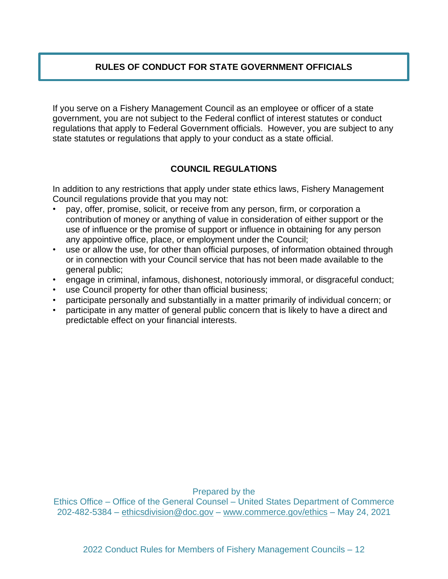# **RULES OF CONDUCT FOR STATE GOVERNMENT OFFICIALS**

If you serve on a Fishery Management Council as an employee or officer of a state government, you are not subject to the Federal conflict of interest statutes or conduct regulations that apply to Federal Government officials. However, you are subject to any state statutes or regulations that apply to your conduct as a state official.

# **COUNCIL REGULATIONS**

In addition to any restrictions that apply under state ethics laws, Fishery Management Council regulations provide that you may not:

- pay, offer, promise, solicit, or receive from any person, firm, or corporation a contribution of money or anything of value in consideration of either support or the use of influence or the promise of support or influence in obtaining for any person any appointive office, place, or employment under the Council;
- use or allow the use, for other than official purposes, of information obtained through or in connection with your Council service that has not been made available to the general public;
- engage in criminal, infamous, dishonest, notoriously immoral, or disgraceful conduct;
- use Council property for other than official business;
- participate personally and substantially in a matter primarily of individual concern; or
- participate in any matter of general public concern that is likely to have a direct and predictable effect on your financial interests.

Prepared by the

Ethics Office – Office of the General Counsel – United States Department of Commerce 202-482-5384 – [ethicsdivision@doc.gov](mailto:ethicsdivision@doc.gov) – [www.commerce.gov/](http://www.commerce.gov/)ethics – May 24, 2021